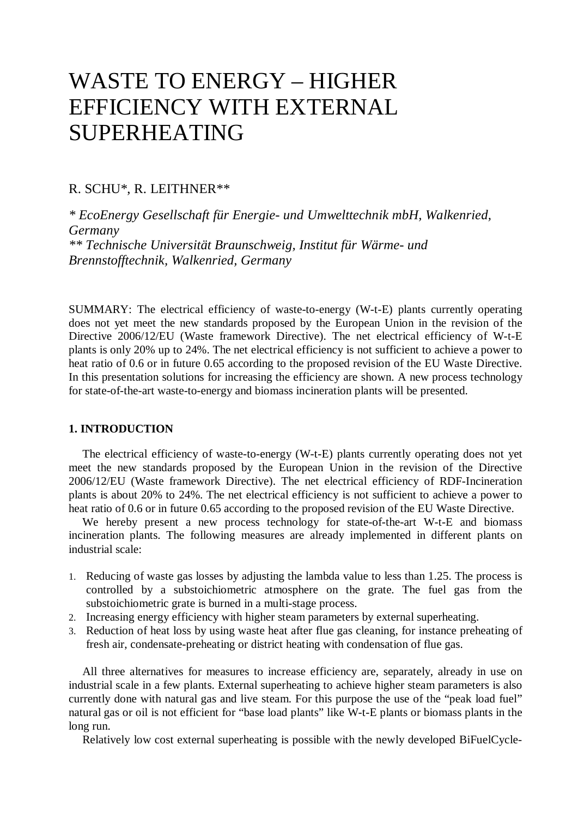# WASTE TO ENERGY – HIGHER EFFICIENCY WITH EXTERNAL SUPERHEATING

## R. SCHU\*, R. LEITHNER\*\*

*\* EcoEnergy Gesellschaft für Energie- und Umwelttechnik mbH, Walkenried, Germany \*\* Technische Universität Braunschweig, Institut für Wärme- und Brennstofftechnik, Walkenried, Germany* 

SUMMARY: The electrical efficiency of waste-to-energy (W-t-E) plants currently operating does not yet meet the new standards proposed by the European Union in the revision of the Directive 2006/12/EU (Waste framework Directive). The net electrical efficiency of W-t-E plants is only 20% up to 24%. The net electrical efficiency is not sufficient to achieve a power to heat ratio of 0.6 or in future 0.65 according to the proposed revision of the EU Waste Directive. In this presentation solutions for increasing the efficiency are shown. A new process technology for state-of-the-art waste-to-energy and biomass incineration plants will be presented.

#### **1. INTRODUCTION**

The electrical efficiency of waste-to-energy (W-t-E) plants currently operating does not yet meet the new standards proposed by the European Union in the revision of the Directive 2006/12/EU (Waste framework Directive). The net electrical efficiency of RDF-Incineration plants is about 20% to 24%. The net electrical efficiency is not sufficient to achieve a power to heat ratio of 0.6 or in future 0.65 according to the proposed revision of the EU Waste Directive.

We hereby present a new process technology for state-of-the-art W-t-E and biomass incineration plants. The following measures are already implemented in different plants on industrial scale:

- 1. Reducing of waste gas losses by adjusting the lambda value to less than 1.25. The process is controlled by a substoichiometric atmosphere on the grate. The fuel gas from the substoichiometric grate is burned in a multi-stage process.
- 2. Increasing energy efficiency with higher steam parameters by external superheating.
- 3. Reduction of heat loss by using waste heat after flue gas cleaning, for instance preheating of fresh air, condensate-preheating or district heating with condensation of flue gas.

All three alternatives for measures to increase efficiency are, separately, already in use on industrial scale in a few plants. External superheating to achieve higher steam parameters is also currently done with natural gas and live steam. For this purpose the use of the "peak load fuel" natural gas or oil is not efficient for "base load plants" like W-t-E plants or biomass plants in the long run.

Relatively low cost external superheating is possible with the newly developed BiFuelCycle-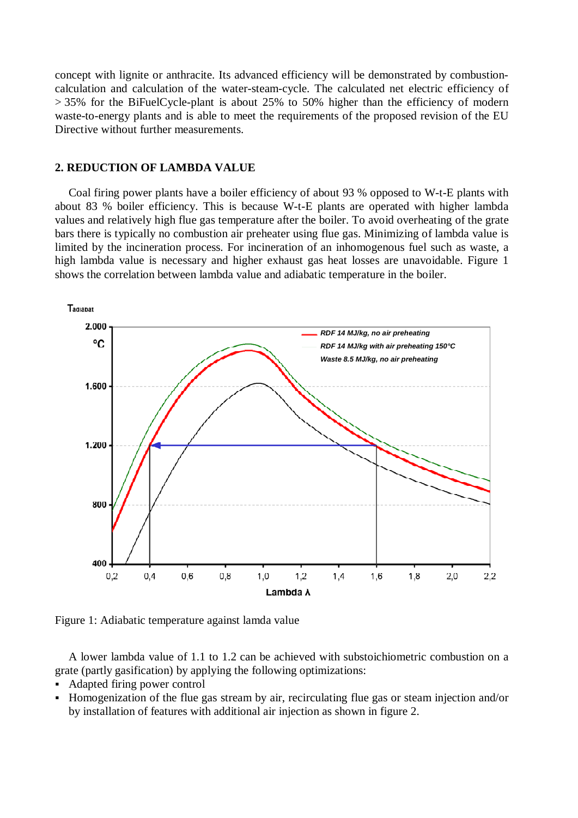concept with lignite or anthracite. Its advanced efficiency will be demonstrated by combustioncalculation and calculation of the water-steam-cycle. The calculated net electric efficiency of  $> 35\%$  for the BiFuelCycle-plant is about 25% to 50% higher than the efficiency of modern waste-to-energy plants and is able to meet the requirements of the proposed revision of the EU Directive without further measurements.

### **2. REDUCTION OF LAMBDA VALUE**

Coal firing power plants have a boiler efficiency of about 93 % opposed to W-t-E plants with about 83 % boiler efficiency. This is because W-t-E plants are operated with higher lambda values and relatively high flue gas temperature after the boiler. To avoid overheating of the grate bars there is typically no combustion air preheater using flue gas. Minimizing of lambda value is limited by the incineration process. For incineration of an inhomogenous fuel such as waste, a high lambda value is necessary and higher exhaust gas heat losses are unavoidable. Figure 1 shows the correlation between lambda value and adiabatic temperature in the boiler.



Figure 1: Adiabatic temperature against lamda value

A lower lambda value of 1.1 to 1.2 can be achieved with substoichiometric combustion on a grate (partly gasification) by applying the following optimizations:

- Adapted firing power control
- Homogenization of the flue gas stream by air, recirculating flue gas or steam injection and/or by installation of features with additional air injection as shown in figure 2.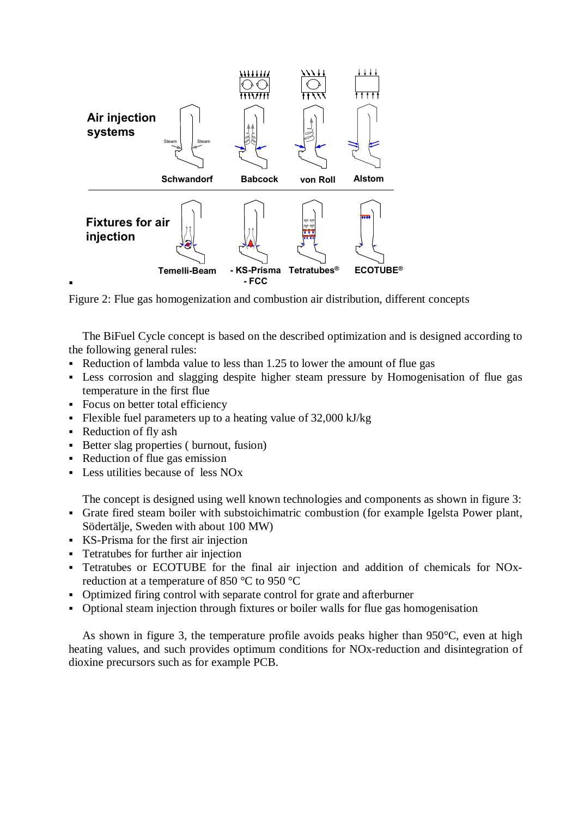

Figure 2: Flue gas homogenization and combustion air distribution, different concepts

The BiFuel Cycle concept is based on the described optimization and is designed according to the following general rules:

- Reduction of lambda value to less than 1.25 to lower the amount of flue gas
- Less corrosion and slagging despite higher steam pressure by Homogenisation of flue gas temperature in the first flue
- Focus on better total efficiency
- Flexible fuel parameters up to a heating value of  $32,000$  kJ/kg
- Reduction of fly ash

 $\blacksquare$ 

- Better slag properties ( burnout, fusion)
- Reduction of flue gas emission
- Less utilities because of less NOx

The concept is designed using well known technologies and components as shown in figure 3:

- Grate fired steam boiler with substoichimatric combustion (for example Igelsta Power plant, Södertälje, Sweden with about 100 MW)
- KS-Prisma for the first air injection
- Tetratubes for further air injection
- Tetratubes or ECOTUBE for the final air injection and addition of chemicals for NOxreduction at a temperature of 850 °C to 950 °C
- Optimized firing control with separate control for grate and afterburner
- Optional steam injection through fixtures or boiler walls for flue gas homogenisation

As shown in figure 3, the temperature profile avoids peaks higher than 950°C, even at high heating values, and such provides optimum conditions for NOx-reduction and disintegration of dioxine precursors such as for example PCB.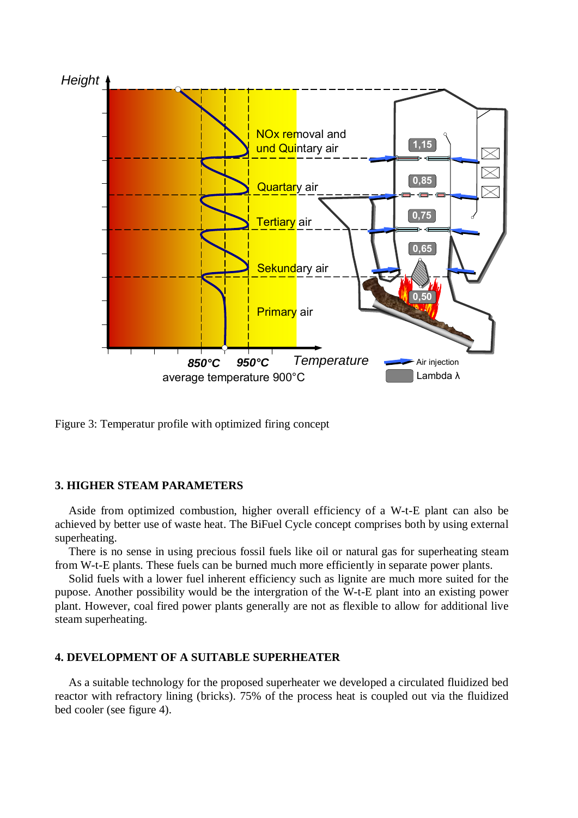

Figure 3: Temperatur profile with optimized firing concept

### **3. HIGHER STEAM PARAMETERS**

Aside from optimized combustion, higher overall efficiency of a W-t-E plant can also be achieved by better use of waste heat. The BiFuel Cycle concept comprises both by using external superheating.

There is no sense in using precious fossil fuels like oil or natural gas for superheating steam from W-t-E plants. These fuels can be burned much more efficiently in separate power plants.

Solid fuels with a lower fuel inherent efficiency such as lignite are much more suited for the pupose. Another possibility would be the intergration of the W-t-E plant into an existing power plant. However, coal fired power plants generally are not as flexible to allow for additional live steam superheating.

#### **4. DEVELOPMENT OF A SUITABLE SUPERHEATER**

As a suitable technology for the proposed superheater we developed a circulated fluidized bed reactor with refractory lining (bricks). 75% of the process heat is coupled out via the fluidized bed cooler (see figure 4).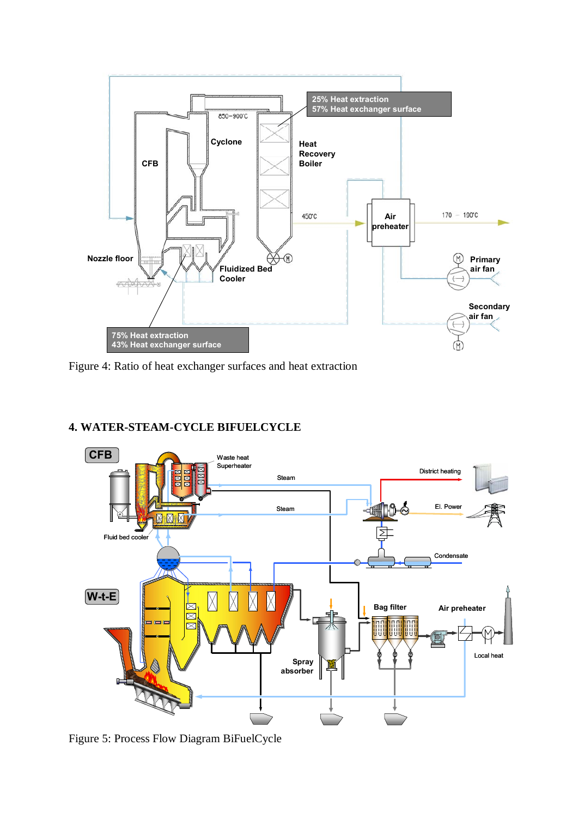

Figure 4: Ratio of heat exchanger surfaces and heat extraction

# **4. WATER-STEAM-CYCLE BIFUELCYCLE**



Figure 5: Process Flow Diagram BiFuelCycle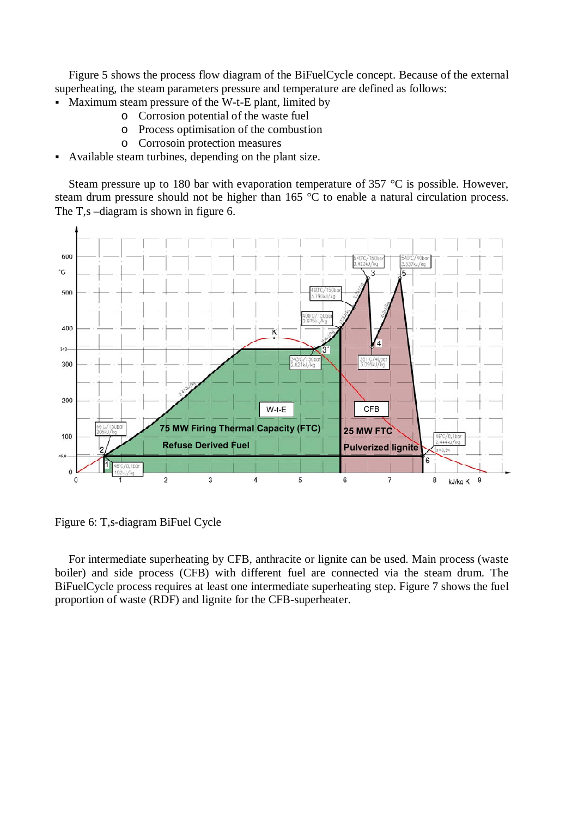Figure 5 shows the process flow diagram of the BiFuelCycle concept. Because of the external superheating, the steam parameters pressure and temperature are defined as follows:

- Maximum steam pressure of the W-t-E plant, limited by
	- o Corrosion potential of the waste fuel
	- o Process optimisation of the combustion
	- o Corrosoin protection measures
- Available steam turbines, depending on the plant size.

Steam pressure up to 180 bar with evaporation temperature of 357 °C is possible. However, steam drum pressure should not be higher than 165 °C to enable a natural circulation process. The T,s –diagram is shown in figure 6.



Figure 6: T,s-diagram BiFuel Cycle

For intermediate superheating by CFB, anthracite or lignite can be used. Main process (waste boiler) and side process (CFB) with different fuel are connected via the steam drum. The BiFuelCycle process requires at least one intermediate superheating step. Figure 7 shows the fuel proportion of waste (RDF) and lignite for the CFB-superheater.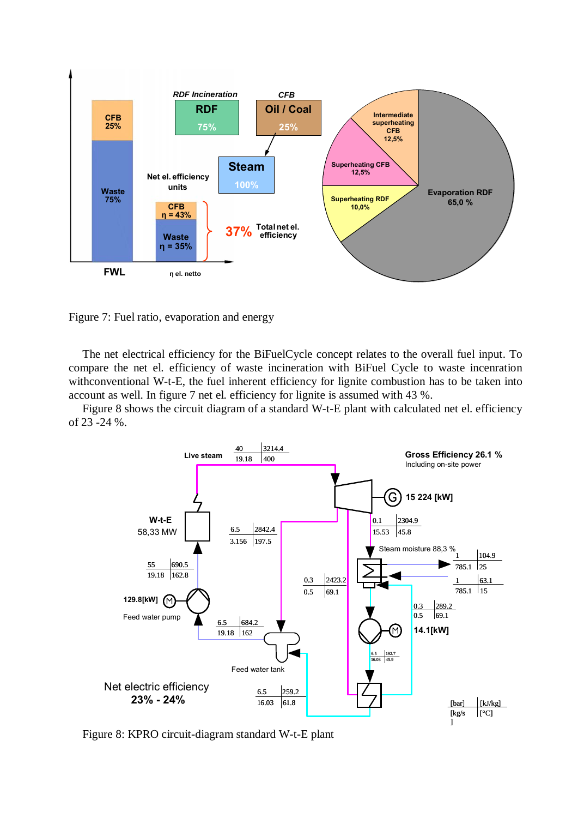

Figure 7: Fuel ratio, evaporation and energy

The net electrical efficiency for the BiFuelCycle concept relates to the overall fuel input. To compare the net el. efficiency of waste incineration with BiFuel Cycle to waste incenration with conventional W-t-E, the fuel inherent efficiency for lignite combustion has to be taken into account as well. In figure 7 net el. efficiency for lignite is assumed with 43 %.

Figure 8 shows the circuit diagram of a standard W-t-E plant with calculated net el. efficiency of 23 -24 %.



Figure 8: KPRO circuit-diagram standard W-t-E plant